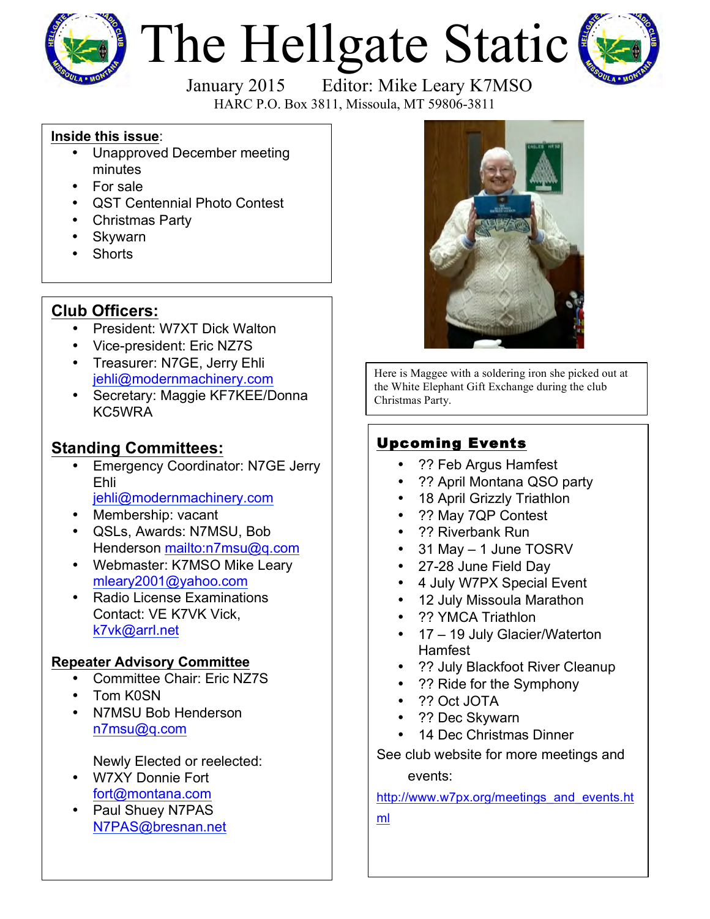

# The Hellgate Static



HARC P.O. Box 3811, Missoula, MT 59806-3811

#### **Inside this issue**:

- Unapproved December meeting minutes
- For sale
- QST Centennial Photo Contest
- Christmas Party
- Skywarn
- **Shorts**

## **Club Officers:**

- President: W7XT Dick Walton
- Vice-president: Eric NZ7S
- Treasurer: N7GE, Jerry Ehli jehli@modernmachinery.com
- Secretary: Maggie KF7KEE/Donna KC5WRA

## **Standing Committees:**

- **Emergency Coordinator: N7GE Jerry** Ehli jehli@modernmachinery.com
- Membership: vacant
- QSLs, Awards: N7MSU, Bob Henderson mailto:n7msu@q.com
- Webmaster: K7MSO Mike Leary mleary2001@yahoo.com
- Radio License Examinations Contact: VE K7VK Vick, k7vk@arrl.net

### **Repeater Advisory Committee**

- Committee Chair: Eric NZ7S
- Tom K0SN
- N7MSU Bob Henderson n7msu@q.com

Newly Elected or reelected:

- W7XY Donnie Fort fort@montana.com
- Paul Shuey N7PAS N7PAS@bresnan.net



Here is Maggee with a soldering iron she picked out at the White Elephant Gift Exchange during the club Christmas Party.

## Upcoming Events

- ?? Feb Argus Hamfest
- ?? April Montana QSO party
- 18 April Grizzly Triathlon
- ?? May 7QP Contest
- ?? Riverbank Run
- 31 May 1 June TOSRV
- 27-28 June Field Day
- 4 July W7PX Special Event
- 12 July Missoula Marathon
- ?? YMCA Triathlon
- 17 19 July Glacier/Waterton Hamfest
- ?? July Blackfoot River Cleanup
- ?? Ride for the Symphony
- ?? Oct JOTA
- ?? Dec Skywarn
- 14 Dec Christmas Dinner

See club website for more meetings and events:

http://www.w7px.org/meetings\_and\_events.ht

ml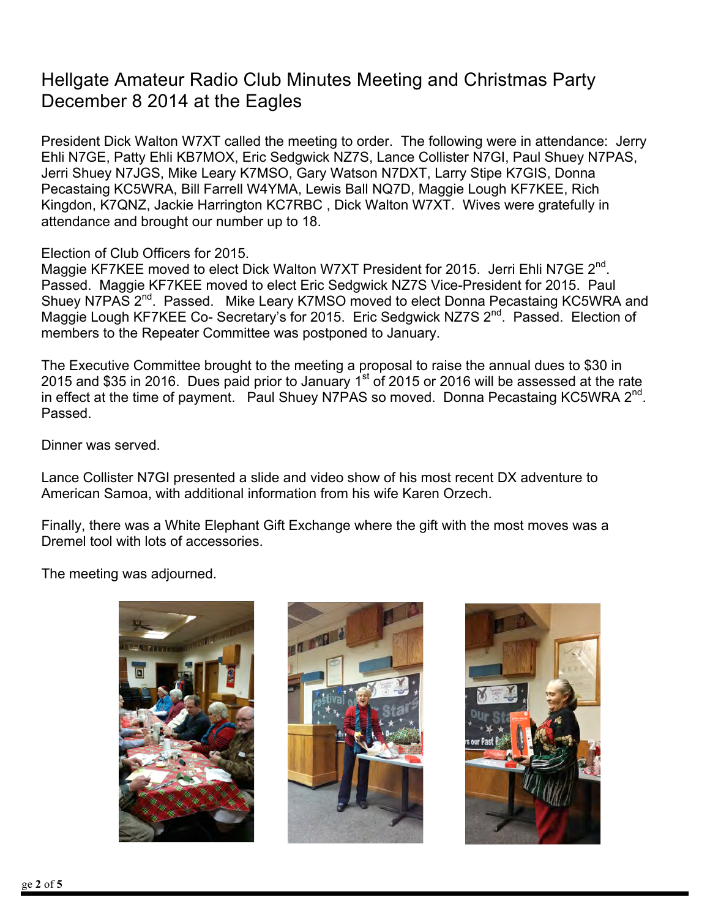## Hellgate Amateur Radio Club Minutes Meeting and Christmas Party December 8 2014 at the Eagles

President Dick Walton W7XT called the meeting to order. The following were in attendance: Jerry Ehli N7GE, Patty Ehli KB7MOX, Eric Sedgwick NZ7S, Lance Collister N7GI, Paul Shuey N7PAS, Jerri Shuey N7JGS, Mike Leary K7MSO, Gary Watson N7DXT, Larry Stipe K7GIS, Donna Pecastaing KC5WRA, Bill Farrell W4YMA, Lewis Ball NQ7D, Maggie Lough KF7KEE, Rich Kingdon, K7QNZ, Jackie Harrington KC7RBC , Dick Walton W7XT. Wives were gratefully in attendance and brought our number up to 18.

Election of Club Officers for 2015.

Maggie KF7KEE moved to elect Dick Walton W7XT President for 2015. Jerri Ehli N7GE  $2^{nd}$ . Passed. Maggie KF7KEE moved to elect Eric Sedgwick NZ7S Vice-President for 2015. Paul Shuey N7PAS 2<sup>nd</sup>. Passed. Mike Leary K7MSO moved to elect Donna Pecastaing KC5WRA and Maggie Lough KF7KEE Co- Secretary's for 2015. Eric Sedgwick NZ7S 2<sup>nd</sup>. Passed. Election of members to the Repeater Committee was postponed to January.

The Executive Committee brought to the meeting a proposal to raise the annual dues to \$30 in 2015 and \$35 in 2016. Dues paid prior to January  $1^{st}$  of 2015 or 2016 will be assessed at the rate in effect at the time of payment. Paul Shuey N7PAS so moved. Donna Pecastaing KC5WRA  $2^{nd}$ . Passed.

Dinner was served.

Lance Collister N7GI presented a slide and video show of his most recent DX adventure to American Samoa, with additional information from his wife Karen Orzech.

Finally, there was a White Elephant Gift Exchange where the gift with the most moves was a Dremel tool with lots of accessories.

The meeting was adjourned.





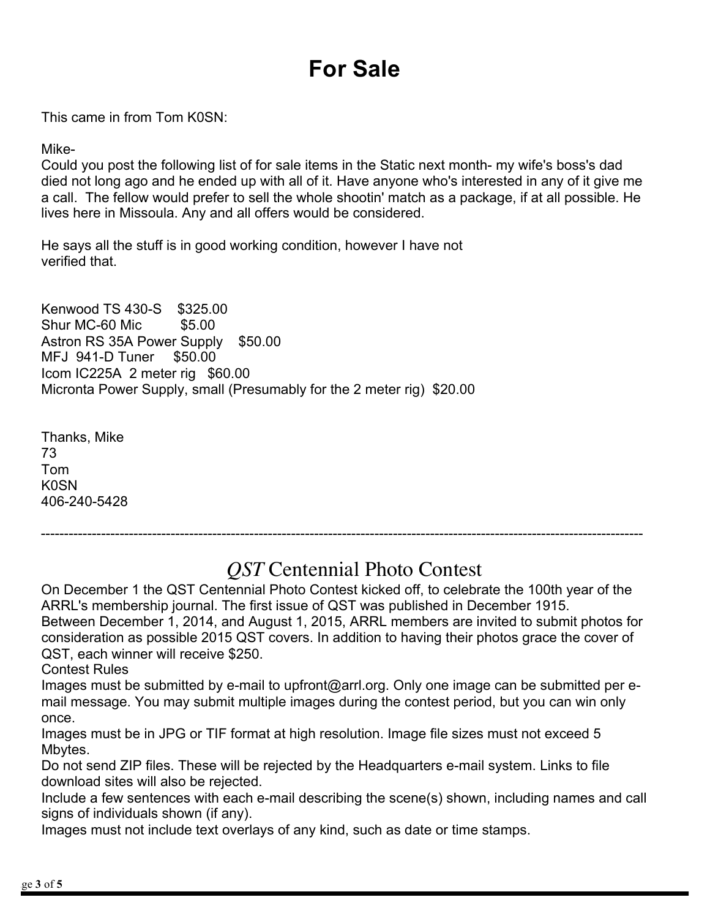# **For Sale**

This came in from Tom K0SN:

Mike-

Could you post the following list of for sale items in the Static next month- my wife's boss's dad died not long ago and he ended up with all of it. Have anyone who's interested in any of it give me a call. The fellow would prefer to sell the whole shootin' match as a package, if at all possible. He lives here in Missoula. Any and all offers would be considered.

He says all the stuff is in good working condition, however I have not verified that.

Kenwood TS 430-S \$325.00 Shur MC-60 Mic \$5.00 Astron RS 35A Power Supply \$50.00 MFJ 941-D Tuner \$50.00 Icom IC225A 2 meter rig \$60.00 Micronta Power Supply, small (Presumably for the 2 meter rig) \$20.00

Thanks, Mike 73 Tom K0SN 406-240-5428

# *QST* Centennial Photo Contest

On December 1 the QST Centennial Photo Contest kicked off, to celebrate the 100th year of the ARRL's membership journal. The first issue of QST was published in December 1915. Between December 1, 2014, and August 1, 2015, ARRL members are invited to submit photos for consideration as possible 2015 QST covers. In addition to having their photos grace the cover of QST, each winner will receive \$250.

----------------------------------------------------------------------------------------------------------------------------------

Contest Rules

Images must be submitted by e-mail to upfront@arrl.org. Only one image can be submitted per email message. You may submit multiple images during the contest period, but you can win only once.

Images must be in JPG or TIF format at high resolution. Image file sizes must not exceed 5 Mbytes.

Do not send ZIP files. These will be rejected by the Headquarters e-mail system. Links to file download sites will also be rejected.

Include a few sentences with each e-mail describing the scene(s) shown, including names and call signs of individuals shown (if any).

Images must not include text overlays of any kind, such as date or time stamps.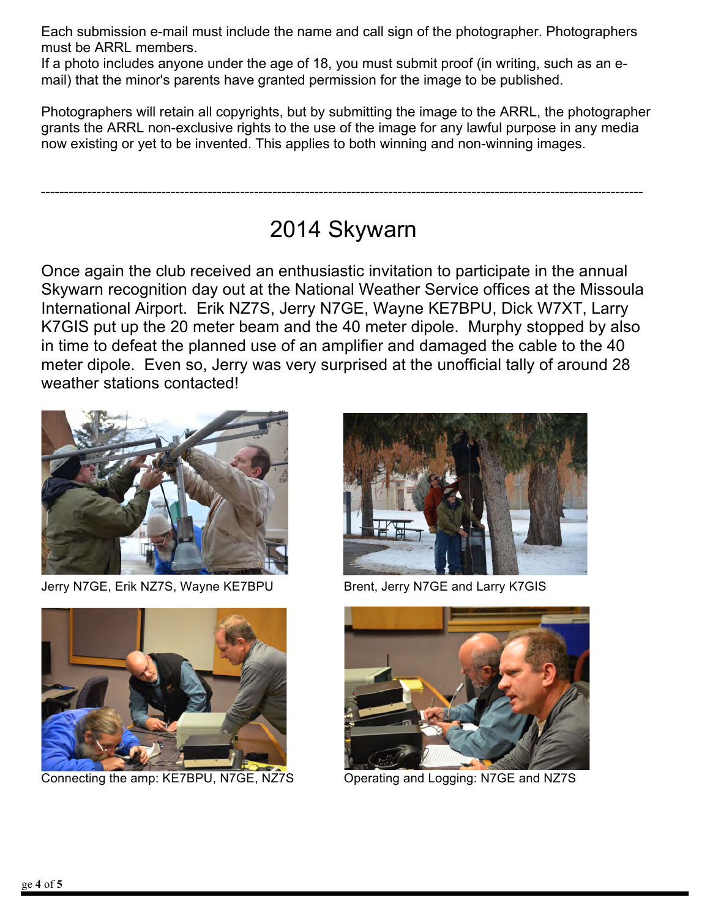Each submission e-mail must include the name and call sign of the photographer. Photographers must be ARRL members.

If a photo includes anyone under the age of 18, you must submit proof (in writing, such as an email) that the minor's parents have granted permission for the image to be published.

Photographers will retain all copyrights, but by submitting the image to the ARRL, the photographer grants the ARRL non-exclusive rights to the use of the image for any lawful purpose in any media now existing or yet to be invented. This applies to both winning and non-winning images.

# 2014 Skywarn

----------------------------------------------------------------------------------------------------------------------------------

Once again the club received an enthusiastic invitation to participate in the annual Skywarn recognition day out at the National Weather Service offices at the Missoula International Airport. Erik NZ7S, Jerry N7GE, Wayne KE7BPU, Dick W7XT, Larry K7GIS put up the 20 meter beam and the 40 meter dipole. Murphy stopped by also in time to defeat the planned use of an amplifier and damaged the cable to the 40 meter dipole. Even so, Jerry was very surprised at the unofficial tally of around 28 weather stations contacted!



Jerry N7GE, Erik NZ7S, Wayne KE7BPU Brent, Jerry N7GE and Larry K7GIS



Connecting the amp: KE7BPU, N7GE, NZ7S Operating and Logging: N7GE and NZ7S